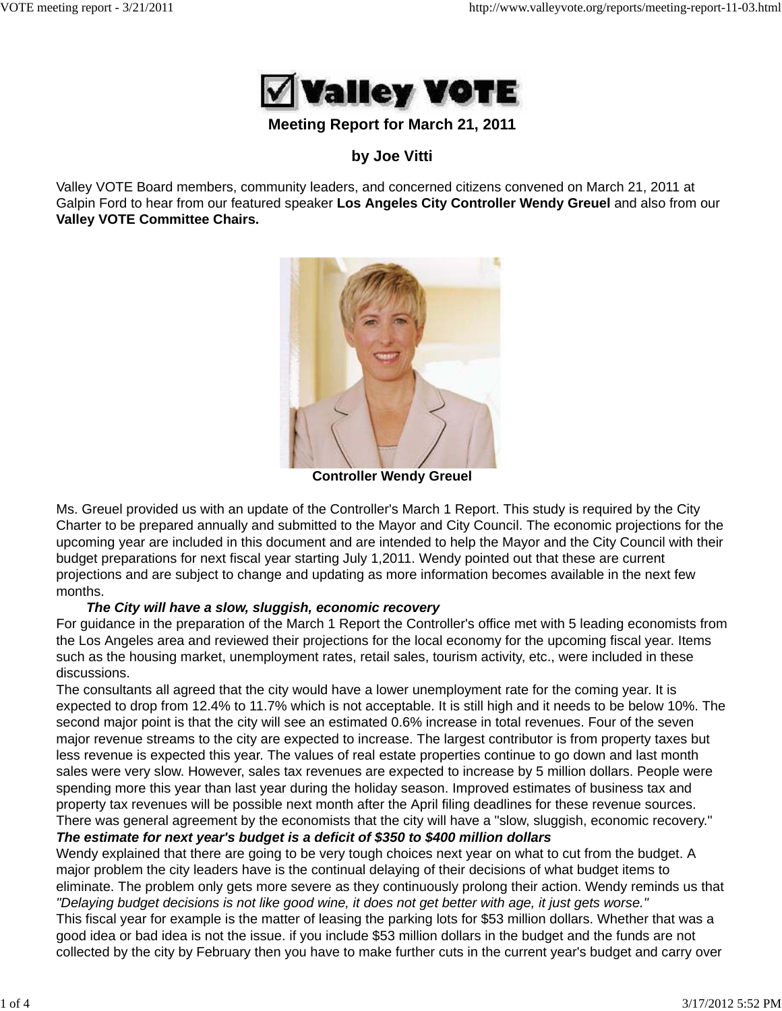

## **Meeting Report for March 21, 2011**

# **by Joe Vitti**

Valley VOTE Board members, community leaders, and concerned citizens convened on March 21, 2011 at Galpin Ford to hear from our featured speaker **Los Angeles City Controller Wendy Greuel** and also from our **Valley VOTE Committee Chairs.**



**Controller Wendy Greuel**

Ms. Greuel provided us with an update of the Controller's March 1 Report. This study is required by the City Charter to be prepared annually and submitted to the Mayor and City Council. The economic projections for the upcoming year are included in this document and are intended to help the Mayor and the City Council with their budget preparations for next fiscal year starting July 1,2011. Wendy pointed out that these are current projections and are subject to change and updating as more information becomes available in the next few months.

### *The City will have a slow, sluggish, economic recovery*

For guidance in the preparation of the March 1 Report the Controller's office met with 5 leading economists from the Los Angeles area and reviewed their projections for the local economy for the upcoming fiscal year. Items such as the housing market, unemployment rates, retail sales, tourism activity, etc., were included in these discussions.

The consultants all agreed that the city would have a lower unemployment rate for the coming year. It is expected to drop from 12.4% to 11.7% which is not acceptable. It is still high and it needs to be below 10%. The second major point is that the city will see an estimated 0.6% increase in total revenues. Four of the seven major revenue streams to the city are expected to increase. The largest contributor is from property taxes but less revenue is expected this year. The values of real estate properties continue to go down and last month sales were very slow. However, sales tax revenues are expected to increase by 5 million dollars. People were spending more this year than last year during the holiday season. Improved estimates of business tax and property tax revenues will be possible next month after the April filing deadlines for these revenue sources. There was general agreement by the economists that the city will have a "slow, sluggish, economic recovery."

# *The estimate for next year's budget is a deficit of \$350 to \$400 million dollars*

Wendy explained that there are going to be very tough choices next year on what to cut from the budget. A major problem the city leaders have is the continual delaying of their decisions of what budget items to eliminate. The problem only gets more severe as they continuously prolong their action. Wendy reminds us that *"Delaying budget decisions is not like good wine, it does not get better with age, it just gets worse."*

This fiscal year for example is the matter of leasing the parking lots for \$53 million dollars. Whether that was a good idea or bad idea is not the issue. if you include \$53 million dollars in the budget and the funds are not collected by the city by February then you have to make further cuts in the current year's budget and carry over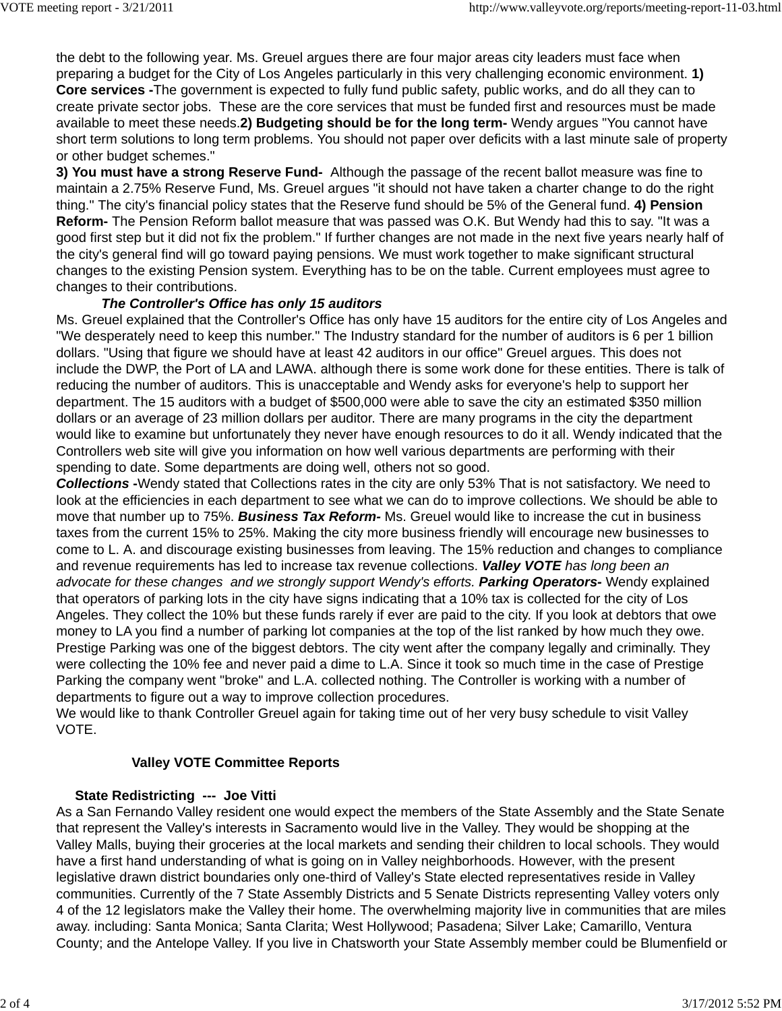the debt to the following year. Ms. Greuel argues there are four major areas city leaders must face when preparing a budget for the City of Los Angeles particularly in this very challenging economic environment. **1) Core services -**The government is expected to fully fund public safety, public works, and do all they can to create private sector jobs. These are the core services that must be funded first and resources must be made available to meet these needs.**2) Budgeting should be for the long term-** Wendy argues "You cannot have short term solutions to long term problems. You should not paper over deficits with a last minute sale of property or other budget schemes."

**3) You must have a strong Reserve Fund-** Although the passage of the recent ballot measure was fine to maintain a 2.75% Reserve Fund, Ms. Greuel argues "it should not have taken a charter change to do the right thing." The city's financial policy states that the Reserve fund should be 5% of the General fund. **4) Pension Reform-** The Pension Reform ballot measure that was passed was O.K. But Wendy had this to say. "It was a good first step but it did not fix the problem." If further changes are not made in the next five years nearly half of the city's general find will go toward paying pensions. We must work together to make significant structural changes to the existing Pension system. Everything has to be on the table. Current employees must agree to changes to their contributions.

### *The Controller's Office has only 15 auditors*

Ms. Greuel explained that the Controller's Office has only have 15 auditors for the entire city of Los Angeles and "We desperately need to keep this number." The Industry standard for the number of auditors is 6 per 1 billion dollars. "Using that figure we should have at least 42 auditors in our office" Greuel argues. This does not include the DWP, the Port of LA and LAWA. although there is some work done for these entities. There is talk of reducing the number of auditors. This is unacceptable and Wendy asks for everyone's help to support her department. The 15 auditors with a budget of \$500,000 were able to save the city an estimated \$350 million dollars or an average of 23 million dollars per auditor. There are many programs in the city the department would like to examine but unfortunately they never have enough resources to do it all. Wendy indicated that the Controllers web site will give you information on how well various departments are performing with their spending to date. Some departments are doing well, others not so good.

*Collections* **-**Wendy stated that Collections rates in the city are only 53% That is not satisfactory. We need to look at the efficiencies in each department to see what we can do to improve collections. We should be able to move that number up to 75%. *Business Tax Reform-* Ms. Greuel would like to increase the cut in business taxes from the current 15% to 25%. Making the city more business friendly will encourage new businesses to come to L. A. and discourage existing businesses from leaving. The 15% reduction and changes to compliance and revenue requirements has led to increase tax revenue collections. *Valley VOTE has long been an advocate for these changes and we strongly support Wendy's efforts. Parking Operators-* Wendy explained that operators of parking lots in the city have signs indicating that a 10% tax is collected for the city of Los Angeles. They collect the 10% but these funds rarely if ever are paid to the city. If you look at debtors that owe money to LA you find a number of parking lot companies at the top of the list ranked by how much they owe. Prestige Parking was one of the biggest debtors. The city went after the company legally and criminally. They were collecting the 10% fee and never paid a dime to L.A. Since it took so much time in the case of Prestige Parking the company went "broke" and L.A. collected nothing. The Controller is working with a number of departments to figure out a way to improve collection procedures.

We would like to thank Controller Greuel again for taking time out of her very busy schedule to visit Valley VOTE.

### **Valley VOTE Committee Reports**

### **State Redistricting --- Joe Vitti**

As a San Fernando Valley resident one would expect the members of the State Assembly and the State Senate that represent the Valley's interests in Sacramento would live in the Valley. They would be shopping at the Valley Malls, buying their groceries at the local markets and sending their children to local schools. They would have a first hand understanding of what is going on in Valley neighborhoods. However, with the present legislative drawn district boundaries only one-third of Valley's State elected representatives reside in Valley communities. Currently of the 7 State Assembly Districts and 5 Senate Districts representing Valley voters only 4 of the 12 legislators make the Valley their home. The overwhelming majority live in communities that are miles away. including: Santa Monica; Santa Clarita; West Hollywood; Pasadena; Silver Lake; Camarillo, Ventura County; and the Antelope Valley. If you live in Chatsworth your State Assembly member could be Blumenfield or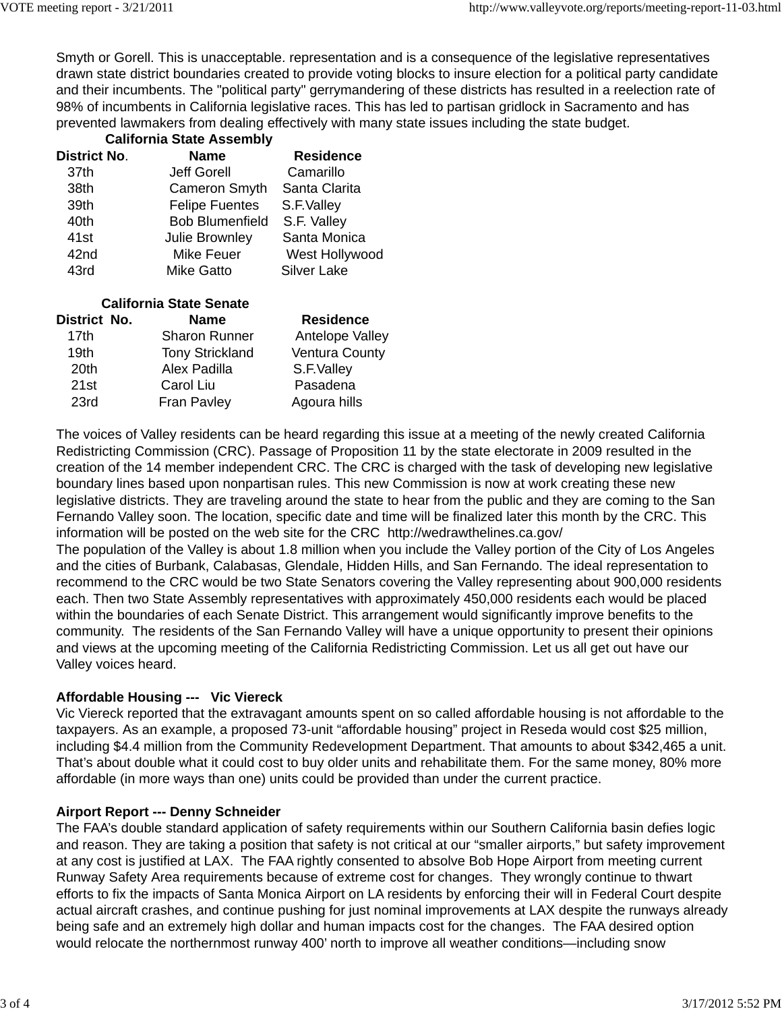Smyth or Gorell. This is unacceptable. representation and is a consequence of the legislative representatives drawn state district boundaries created to provide voting blocks to insure election for a political party candidate and their incumbents. The "political party" gerrymandering of these districts has resulted in a reelection rate of 98% of incumbents in California legislative races. This has led to partisan gridlock in Sacramento and has prevented lawmakers from dealing effectively with many state issues including the state budget.

| <b>California State Assembly</b> |                        |                  |  |
|----------------------------------|------------------------|------------------|--|
| <b>District No.</b>              | <b>Name</b>            | <b>Residence</b> |  |
| 37th                             | <b>Jeff Gorell</b>     | Camarillo        |  |
| 38th                             | <b>Cameron Smyth</b>   | Santa Clarita    |  |
| 39th                             | <b>Felipe Fuentes</b>  | S.F.Valley       |  |
| 40th                             | <b>Bob Blumenfield</b> | S.F. Valley      |  |
| 41 <sub>st</sub>                 | Julie Brownley         | Santa Monica     |  |
| 42nd                             | Mike Feuer             | West Hollywood   |  |
| 43rd                             | <b>Mike Gatto</b>      | Silver Lake      |  |

| <b>California State Senate</b> |  |                        |                       |
|--------------------------------|--|------------------------|-----------------------|
| District No.                   |  | <b>Name</b>            | <b>Residence</b>      |
| 17th                           |  | <b>Sharon Runner</b>   | Antelope Valley       |
| 19th                           |  | <b>Tony Strickland</b> | <b>Ventura County</b> |
| 20th                           |  | Alex Padilla           | S.F.Valley            |
| 21st                           |  | Carol Liu              | Pasadena              |
| 23rd                           |  | <b>Fran Pavley</b>     | Agoura hills          |

The voices of Valley residents can be heard regarding this issue at a meeting of the newly created California Redistricting Commission (CRC). Passage of Proposition 11 by the state electorate in 2009 resulted in the creation of the 14 member independent CRC. The CRC is charged with the task of developing new legislative boundary lines based upon nonpartisan rules. This new Commission is now at work creating these new legislative districts. They are traveling around the state to hear from the public and they are coming to the San Fernando Valley soon. The location, specific date and time will be finalized later this month by the CRC. This information will be posted on the web site for the CRC http://wedrawthelines.ca.gov/

The population of the Valley is about 1.8 million when you include the Valley portion of the City of Los Angeles and the cities of Burbank, Calabasas, Glendale, Hidden Hills, and San Fernando. The ideal representation to recommend to the CRC would be two State Senators covering the Valley representing about 900,000 residents each. Then two State Assembly representatives with approximately 450,000 residents each would be placed within the boundaries of each Senate District. This arrangement would significantly improve benefits to the community. The residents of the San Fernando Valley will have a unique opportunity to present their opinions and views at the upcoming meeting of the California Redistricting Commission. Let us all get out have our Valley voices heard.

### **Affordable Housing --- Vic Viereck**

Vic Viereck reported that the extravagant amounts spent on so called affordable housing is not affordable to the taxpayers. As an example, a proposed 73-unit "affordable housing" project in Reseda would cost \$25 million, including \$4.4 million from the Community Redevelopment Department. That amounts to about \$342,465 a unit. That's about double what it could cost to buy older units and rehabilitate them. For the same money, 80% more affordable (in more ways than one) units could be provided than under the current practice.

### **Airport Report --- Denny Schneider**

The FAA's double standard application of safety requirements within our Southern California basin defies logic and reason. They are taking a position that safety is not critical at our "smaller airports," but safety improvement at any cost is justified at LAX. The FAA rightly consented to absolve Bob Hope Airport from meeting current Runway Safety Area requirements because of extreme cost for changes. They wrongly continue to thwart efforts to fix the impacts of Santa Monica Airport on LA residents by enforcing their will in Federal Court despite actual aircraft crashes, and continue pushing for just nominal improvements at LAX despite the runways already being safe and an extremely high dollar and human impacts cost for the changes. The FAA desired option would relocate the northernmost runway 400' north to improve all weather conditions—including snow